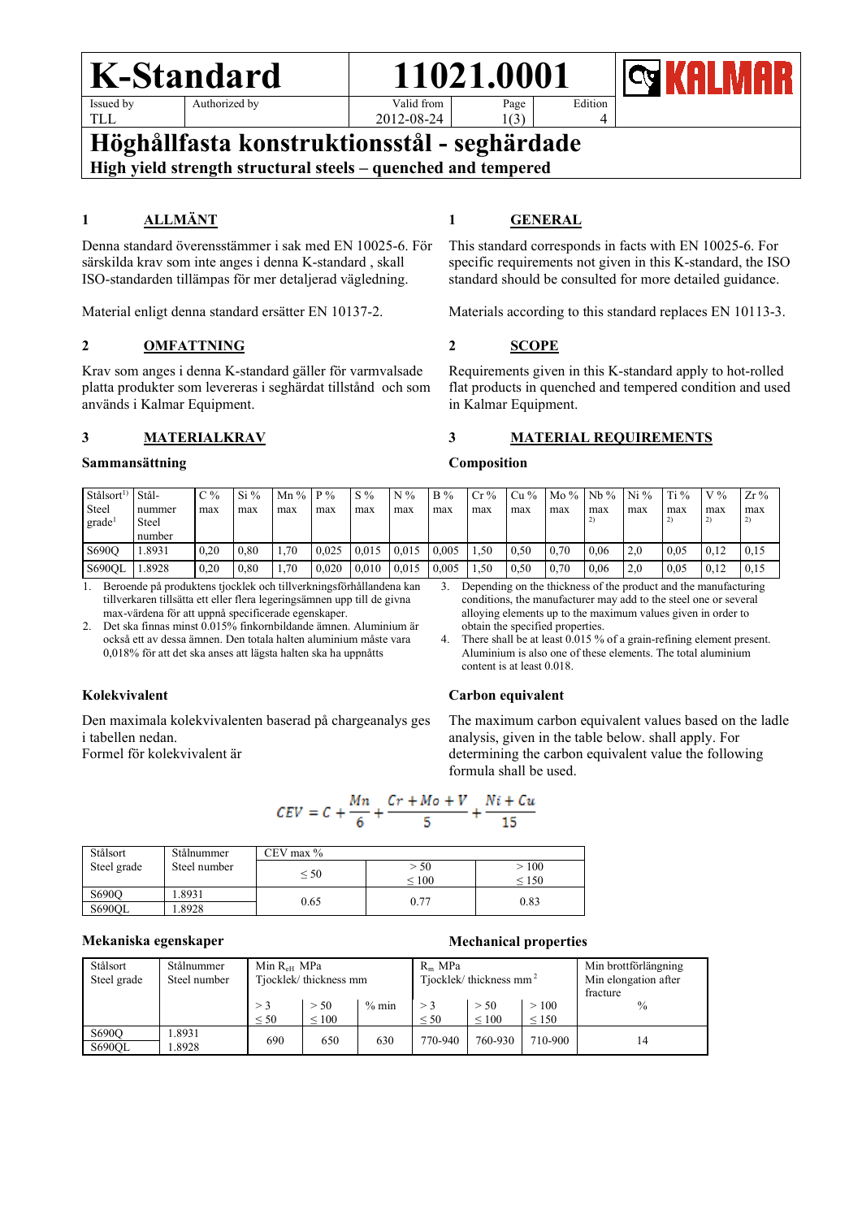# **K-Standard** 11021.0001 Issued by

TLL

Authorized by

2012-08-24

Edition 4

**Höghållfasta konstruktionsstål - seghärdade High yield strength structural steels – quenched and tempered**

# **1 ALLMÄNT**

Denna standard överensstämmer i sak med EN 10025-6. För särskilda krav som inte anges i denna K-standard , skall ISO-standarden tillämpas för mer detaljerad vägledning.

Material enligt denna standard ersätter EN 10137-2.

## **2 OMFATTNING**

Krav som anges i denna K-standard gäller för varmvalsade platta produkter som levereras i seghärdat tillstånd och som används i Kalmar Equipment.

#### **3 MATERIALKRAV**

#### **Sammansättning**

# **1 GENERAL**

Page 1(3)

This standard corresponds in facts with EN 10025-6. For specific requirements not given in this K-standard, the ISO standard should be consulted for more detailed guidance.

Materials according to this standard replaces EN 10113-3.

#### **2 SCOPE**

Requirements given in this K-standard apply to hot-rolled flat products in quenched and tempered condition and used in Kalmar Equipment.

#### **3 MATERIAL REQUIREMENTS**

#### **Composition**

| Stålsort <sup>1)</sup><br>Steel<br>grade | Stål-<br>nummer<br>Steel<br>number | C %<br>max | $Si\%$<br>max | Mn $\%$   P $\%$<br>max | max   | $S\%$<br>max | $N\%$<br>max | <b>B</b> %<br>max | $Cr\%$<br>max | $Cu\%$<br>max | $M_0$ %   Nb %   Ni %<br>max | max  | max | $Ti\%$<br>max | $V\%$<br>max | $Zr\%$<br>max |
|------------------------------------------|------------------------------------|------------|---------------|-------------------------|-------|--------------|--------------|-------------------|---------------|---------------|------------------------------|------|-----|---------------|--------------|---------------|
| S690O                                    | . 8931                             | 0.20       | 0.80          | 1.70                    | 0.025 | 0.015        | 0.015        | 0.005             | 1.50          | 0.50          | 0.70                         | 0.06 | 2.0 | 0.05          | 0.12         | 0.15          |
| S690OL                                   | .8928                              | 0.20       | 0.80          | 1.70                    | 0.020 | 0.010        | 0.015        | 0.005             | 1.50          | 0.50          | 0.70                         | 0.06 | 2.0 | 0.05          | 0,12         | 0,15          |

1. Beroende på produktens tjocklek och tillverkningsförhållandena kan tillverkaren tillsätta ett eller flera legeringsämnen upp till de givna max-värdena för att uppnå specificerade egenskaper.

2. Det ska finnas minst 0.015% finkornbildande ämnen. Aluminium är också ett av dessa ämnen. Den totala halten aluminium måste vara 0,018% för att det ska anses att lägsta halten ska ha uppnåtts

#### **Kolekvivalent**

Den maximala kolekvivalenten baserad på chargeanalys ges i tabellen nedan.

Formel för kolekvivalent är

3. Depending on the thickness of the product and the manufacturing conditions, the manufacturer may add to the steel one or several alloying elements up to the maximum values given in order to obtain the specified properties.

4. There shall be at least 0.015 % of a grain-refining element present. Aluminium is also one of these elements. The total aluminium content is at least 0.018.

#### **Carbon equivalent**

The maximum carbon equivalent values based on the ladle analysis, given in the table below. shall apply. For determining the carbon equivalent value the following formula shall be used.

$$
CEV = C + \frac{Mn}{6} + \frac{Cr + Mo + V}{5} + \frac{Ni + Cu}{15}
$$

| Stålsort      | Stålnummer   | CEV max $%$ |                 |            |  |  |  |  |
|---------------|--------------|-------------|-----------------|------------|--|--|--|--|
| Steel grade   | Steel number |             | > 50            | >100       |  |  |  |  |
|               |              | $\leq 50$   | ${}_{\leq 100}$ | $\leq 150$ |  |  |  |  |
| S690O         | .8931        | 0.65        | 0.77            | 0.83       |  |  |  |  |
| <b>S690OL</b> | .8928        |             |                 |            |  |  |  |  |

#### **Mekaniska egenskaper Mechanical properties**

| Stålsort<br>Steel grade | Stålnummer<br>Steel number | Min R <sub>eff</sub> MPa | Tjocklek/thickness mm   |       | $R_m$ MPa | Tjocklek/thickness mm <sup>2</sup> | Min brottförlängning<br>Min elongation after<br>fracture |               |
|-------------------------|----------------------------|--------------------------|-------------------------|-------|-----------|------------------------------------|----------------------------------------------------------|---------------|
|                         |                            | $>$ 3<br>< 50            | > 50<br>${}_{\leq 100}$ | % min | < 50      | > 50<br>${}_{\leq 100}$            | >100<br>< 150                                            | $\frac{0}{0}$ |
| S690O<br>S690OL         | .8931<br>.8928             | 690                      | 650                     | 630   | 770-940   | 760-930                            | 710-900                                                  |               |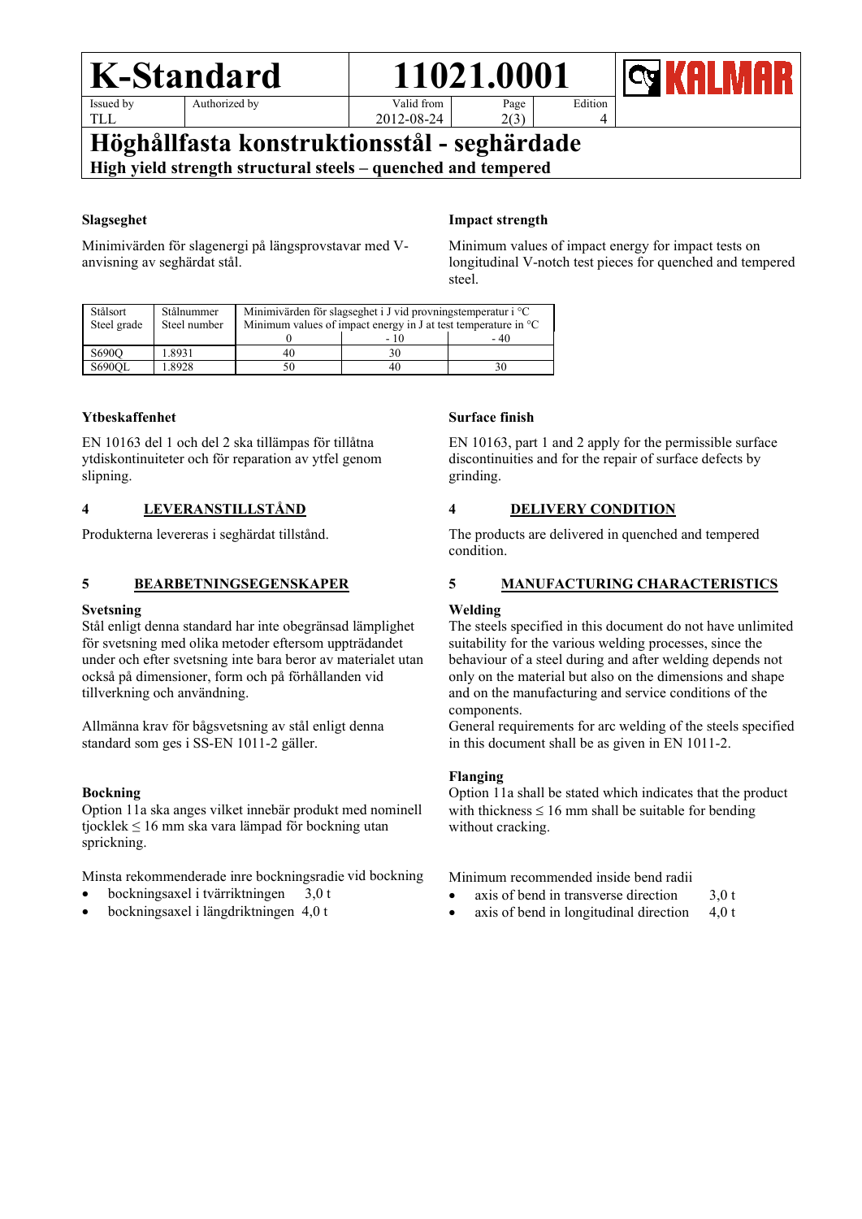# **K-Standard** 11021.0001 Issued by

TLL

Authorized by

2012-08-24

Edition

4

**Höghållfasta konstruktionsstål - seghärdade High yield strength structural steels – quenched and tempered**

## **Slagseghet**

Minimivärden för slagenergi på längsprovstavar med Vanvisning av seghärdat stål.

# **Impact strength**

Page 2(3)

Minimum values of impact energy for impact tests on longitudinal V-notch test pieces for quenched and tempered steel.

| Stålsort<br>Steel grade | Stålnummer<br>Steel number | Minimivärden för slagseghet i J vid provningstemperatur i $^{\circ}C$<br>Minimum values of impact energy in J at test temperature in $\mathrm{C}$ |      |      |  |  |  |  |
|-------------------------|----------------------------|---------------------------------------------------------------------------------------------------------------------------------------------------|------|------|--|--|--|--|
|                         |                            |                                                                                                                                                   | - 10 | - 40 |  |  |  |  |
| S690O                   | 1.8931                     | 40                                                                                                                                                |      |      |  |  |  |  |
| <b>S690OL</b>           | .8928                      |                                                                                                                                                   | 40   |      |  |  |  |  |

# **Ytbeskaffenhet**

EN 10163 del 1 och del 2 ska tillämpas för tillåtna ytdiskontinuiteter och för reparation av ytfel genom slipning.

# **4 LEVERANSTILLSTÅND**

Produkterna levereras i seghärdat tillstånd.

# **5 BEARBETNINGSEGENSKAPER**

### **Svetsning**

Stål enligt denna standard har inte obegränsad lämplighet för svetsning med olika metoder eftersom uppträdandet under och efter svetsning inte bara beror av materialet utan också på dimensioner, form och på förhållanden vid tillverkning och användning.

Allmänna krav för bågsvetsning av stål enligt denna standard som ges i SS-EN 1011-2 gäller.

#### **Bockning**

Option 11a ska anges vilket innebär produkt med nominell tjocklek ≤ 16 mm ska vara lämpad för bockning utan sprickning.

Minsta rekommenderade inre bockningsradie vid bockning

- bockningsaxel i tvärriktningen 3,0 t
- bockningsaxel i längdriktningen 4,0 t

## **Surface finish**

EN 10163, part 1 and 2 apply for the permissible surface discontinuities and for the repair of surface defects by grinding.

# **4 DELIVERY CONDITION**

The products are delivered in quenched and tempered condition.

# **5 MANUFACTURING CHARACTERISTICS**

#### **Welding**

The steels specified in this document do not have unlimited suitability for the various welding processes, since the behaviour of a steel during and after welding depends not only on the material but also on the dimensions and shape and on the manufacturing and service conditions of the components.

General requirements for arc welding of the steels specified in this document shall be as given in EN 1011-2.

## **Flanging**

Option 11a shall be stated which indicates that the product with thickness  $\leq 16$  mm shall be suitable for bending without cracking.

Minimum recommended inside bend radii

- axis of bend in transverse direction  $3.0 t$
- axis of bend in longitudinal direction 4,0 t